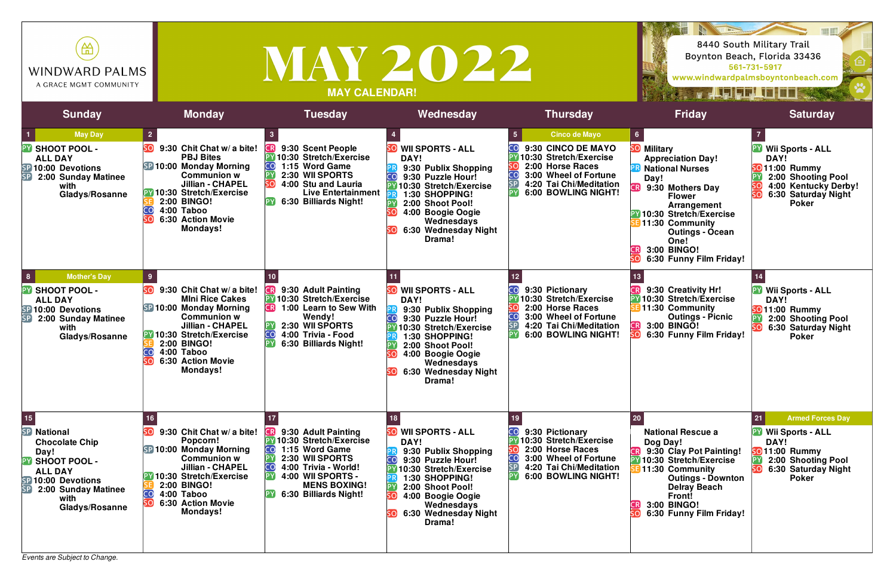*Events are Subject to Change.*

| 笽<br><b>WINDWARD PALMS</b><br>A GRACE MGMT COMMUNITY                                                                                                                                         |                                                                                                                                                                                                                                                                                       | <b>MAY 2022</b><br><b>MAY CALENDAR!</b>                                                                                                                                                   |                                                                                                                                                                                                                                   |                                                                                                                                                                            |                                                                                                                                                                                                                                                                                                           | 8440 South Military Trail<br>Boynton Beach, Florida 33436<br>561-731-5917<br>www.windwardpalmsboyntonbeach.com                                                          |
|----------------------------------------------------------------------------------------------------------------------------------------------------------------------------------------------|---------------------------------------------------------------------------------------------------------------------------------------------------------------------------------------------------------------------------------------------------------------------------------------|-------------------------------------------------------------------------------------------------------------------------------------------------------------------------------------------|-----------------------------------------------------------------------------------------------------------------------------------------------------------------------------------------------------------------------------------|----------------------------------------------------------------------------------------------------------------------------------------------------------------------------|-----------------------------------------------------------------------------------------------------------------------------------------------------------------------------------------------------------------------------------------------------------------------------------------------------------|-------------------------------------------------------------------------------------------------------------------------------------------------------------------------|
| <b>Sunday</b>                                                                                                                                                                                | <b>Monday</b>                                                                                                                                                                                                                                                                         | <b>Tuesday</b>                                                                                                                                                                            | Wednesday                                                                                                                                                                                                                         | <b>Thursday</b>                                                                                                                                                            | <b>Friday</b>                                                                                                                                                                                                                                                                                             | <b>Saturday</b>                                                                                                                                                         |
| <b>May Day</b><br><b>SHOOT POOL -</b><br><b>ALL DAY</b><br>SP 10:00 Devotions<br>2:00 Sunday Matinee<br>with<br>Gladys/Rosanne                                                               | $\overline{2}$<br>sol<br>9:30 Chit Chat w/ a bite!<br><b>PBJ Bites</b><br>SP 10:00 Monday Morning<br><b>Communion w</b><br><b>Jillian - CHAPEL</b><br><b>PY 10:30 Stretch/Exercise</b><br><b>2:00 BINGO!</b><br>4:00 Taboo<br>CO<br>6:30 Action Movie<br><b>Mondays!</b>              | 9:30 Scent People<br><b>PY 10:30 Stretch/Exercise</b><br>1:15 Word Game<br>2:30 WII SPORTS<br>4:00 Stu and Lauria<br><b>Live Entertainment</b><br>6:30 Billiards Night!                   | 60 WII SPORTS - ALL<br>DAY!<br>9:30 Publix Shopping<br>9:30 Puzzle Hour!<br><b>PY 10:30 Stretch/Exercise</b><br>1:30 SHOPPING!<br>2:00 Shoot Pool!<br>4:00 Boogie Oogie<br>Wednesdays<br>6:30 Wednesday Night<br>Drama!           | <b>Cinco de Mayo</b><br>9:30 CINCO DE MAYO<br>10:30 Stretch/Exercise<br>2:00 Horse Races<br>3:00 Wheel of Fortune<br>4:20 Tai Chi/Meditation<br><b>6:00 BOWLING NIGHT!</b> | $6\overline{6}$<br><b>SO</b> Military<br><b>Appreciation Day!</b><br><b>National Nurses</b><br>Day!<br>9:30 Mothers Day<br><b>Flower</b><br>Arrangement<br><b>PY 10:30 Stretch/Exercise</b><br><b>B</b> 11:30 Community<br><b>Outings - Ocean</b><br>One!<br>3:00 BINGO!<br>CR<br>6:30 Funny Film Friday! | <b>PY</b> Wii Sports - ALL<br>DAY!<br><b>SO</b> 11:00 Rummy<br>2:00 Shooting Pool<br>4:00 Kentucky Derby!<br>6:30 Saturday Night<br><b>Poker</b>                        |
| <b>Mother's Day</b><br>8<br><b>SHOOT POOL -</b><br><b>ALL DAY</b><br>SP 10:00 Devotions<br>2:00 Sunday Matinee<br>with<br>Gladys/Rosanne                                                     | 9<br>9:30 Chit Chat w/ a bite!<br><b>MIni Rice Cakes</b><br>SP 10:00 Monday Morning<br><b>Communion w</b><br><b>Jillian - CHAPEL</b><br><b>PY</b> 10:30 Stretch/Exercise<br><b>2:00 BINGO!</b><br>4:00 Taboo<br>CO,<br>$\overline{\varsigma}$<br>6:30 Action Movie<br><b>Mondays!</b> | 10.<br>CR<br>9:30 Adult Painting<br><b>PY 10:30 Stretch/Exercise</b><br>1:00 Learn to Sew With<br>Wendy!<br>2:30 WII SPORTS<br>CO.<br>4:00 Trivia - Food<br>6:30 Billiards Night!         | O WII SPORTS - ALL<br>DAY!<br>9:30 Publix Shopping<br>CO<br>9:30 Puzzle Hour!<br>10:30 Stretch/Exercise<br>1:30 SHOPPING!<br>2:00 Shoot Pool!<br>4:00 Boogie Oogie<br>Wednesdays<br>6:30 Wednesday Night<br>Drama!                | 9:30 Pictionary<br>10:30 Stretch/Exercise<br>2:00 Horse Races<br>3:00 Wheel of Fortune<br>4:20 Tai Chi/Meditation<br><b>6:00 BOWLING NIGHT!</b>                            | 9:30 Creativity Hr!<br>PΥ<br>10:30 Stretch/Exercise<br><b>E</b> 11:30 Community<br><b>Outings - Picnic</b><br>3:00 BINGO!<br>6:30 Funny Film Friday!                                                                                                                                                      | <b>PY</b> Wii Sports - ALL<br>DAY!<br><b>SO 11:00 Rummy</b><br>2:00 Shooting Pool<br>6:30 Saturday Night<br><b>Poker</b>                                                |
| $15 \n\phantom{a}$<br><b>SP</b> National<br><b>Chocolate Chip</b><br>Day!<br><b>PY SHOOT POOL -</b><br><b>ALL DAY</b><br>SP 10:00 Devotions<br>2:00 Sunday Matinee<br>with<br>Gladys/Rosanne | 9:30 Chit Chat w/ a bite!<br>Popcorn!<br>SP 10:00 Monday Morning<br><b>Communion w</b><br><b>Jillian - CHAPEL</b><br>2710:30 Stretch/Exercise<br><b>2:00 BINGO!</b><br>4:00 Taboo<br>6:30 Action Movie<br><b>Mondays!</b>                                                             | 9:30 Adult Painting<br><b>PY 10:30 Stretch/Exercise</b><br>1:15 Word Game<br>2:30 WII SPORTS<br>4:00 Trivia - World!<br>4:00 WII SPORTS -<br><b>MENS BOXING!</b><br>6:30 Billiards Night! | <b>O</b> WII SPORTS - ALL<br>DAY!<br>9:30 Publix Shopping<br>9:30 Puzzle Hour!<br>10:30 Stretch/Exercise<br><b>1:30 SHOPPING!</b><br>2:00 Shoot Pool!<br>4:00 Boogie Oogie<br>Wednesdays<br>5O)<br>6:30 Wednesday Night<br>Drama! | 9:30 Pictionary<br>10:30 Stretch/Exercise<br>2:00 Horse Races<br>3:00 Wheel of Fortune<br>4:20 Tai Chi/Meditation<br><b>6:00 BOWLING NIGHT!</b>                            | 20<br><b>National Rescue a</b><br>Dog Day!<br>9:30 Clay Pot Painting!<br>10:30 Stretch/Exercise<br>11:30 Community<br><b>Outings - Downton</b><br><b>Delray Beach</b><br>Front!<br>3:00 BINGO!<br>6:30 Funny Film Friday!<br>SΟ                                                                           | <b>Armed Forces Day</b><br>21<br><b>PY</b> Wii Sports - ALL<br>DAY!<br><b>SO</b> 11:00 Rummy<br>2:00 Shooting Pool<br>PY.<br>SO.<br>6:30 Saturday Night<br><b>Poker</b> |